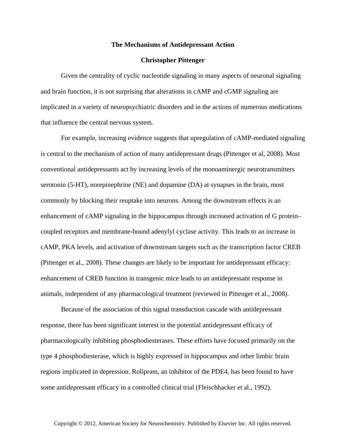## **The Mechanisms of Antidepressant Action**

## **Christopher Pittenger**

Given the centrality of cyclic nucleotide signaling in many aspects of neuronal signaling and brain function, it is not surprising that alterations in cAMP and cGMP signaling are implicated in a variety of neuropsychiatric disorders and in the actions of numerous medications that influence the central nervous system.

For example, increasing evidence suggests that upregulation of cAMP-mediated signaling is central to the mechanism of action of many antidepressant drugs (Pittenger et al, 2008). Most conventional antidepressants act by increasing levels of the monoaminergic neurotransmitters serotonin (5-HT), norepinephrine (NE) and dopamine (DA) at synapses in the brain, most commonly by blocking their reuptake into neurons. Among the downstream effects is an enhancement of cAMP signaling in the hippocampus through increased activation of G protein– coupled receptors and membrane-bound adenylyl cyclase activity. This leads to an increase in cAMP, PKA levels, and activation of downstream targets such as the transcription factor CREB (Pittenger et al., 2008). These changes are likely to be important for antidepressant efficacy: enhancement of CREB function in transgenic mice leads to an antidepressant response in animals, independent of any pharmacological treatment (reviewed in Pittenger et al., 2008).

Because of the association of this signal transduction cascade with antidepressant response, there has been significant interest in the potential antidepressant efficacy of pharmacologically inhibiting phosphodiesterases. These efforts have focused primarily on the type 4 phosphodiesterase, which is highly expressed in hippocampus and other limbic brain regions implicated in depression. Rolipram, an inhibitor of the PDE4, has been found to have some antidepressant efficacy in a controlled clinical trial (Fleischhacker et al., 1992).